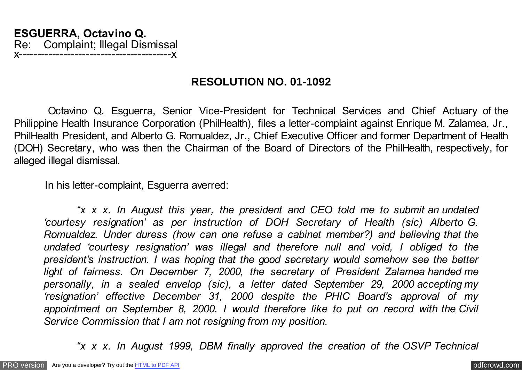## **RESOLUTION NO. 01-1092**

 Octavino Q. Esguerra, Senior Vice-President for Technical Services and Chief Actuary of the Philippine Health Insurance Corporation (PhilHealth), files a letter-complaint against Enrique M. Zalamea, Jr., PhilHealth President, and Alberto G. Romualdez, Jr., Chief Executive Officer and former Department of Health (DOH) Secretary, who was then the Chairman of the Board of Directors of the PhilHealth, respectively, for alleged illegal dismissal.

In his letter-complaint, Esguerra averred:

 *"x x x. In August this year, the president and CEO told me to submit an undated 'courtesy resignation' as per instruction of DOH Secretary of Health (sic) Alberto G. Romualdez. Under duress (how can one refuse a cabinet member?) and believing that the undated 'courtesy resignation' was illegal and therefore null and void, I obliged to the president's instruction. I was hoping that the good secretary would somehow see the better light of fairness. On December 7, 2000, the secretary of President Zalamea handed me personally, in a sealed envelop (sic), a letter dated September 29, 2000 accepting my 'resignation' effective December 31, 2000 despite the PHIC Board's approval of my appointment on September 8, 2000. I would therefore like to put on record with the Civil Service Commission that I am not resigning from my position.*

 *"x x x. In August 1999, DBM finally approved the creation of the OSVP Technical*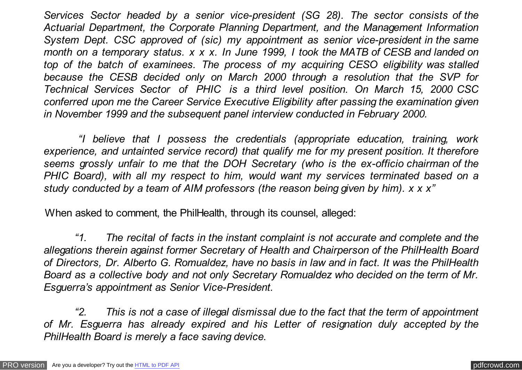*Services Sector headed by a senior vice-president (SG 28). The sector consists of the Actuarial Department, the Corporate Planning Department, and the Management Information System Dept. CSC approved of (sic) my appointment as senior vice-president in the same month on a temporary status. x x x. In June 1999, I took the MATB of CESB and landed on top of the batch of examinees. The process of my acquiring CESO eligibility was stalled because the CESB decided only on March 2000 through a resolution that the SVP for Technical Services Sector of PHIC is a third level position. On March 15, 2000 CSC conferred upon me the Career Service Executive Eligibility after passing the examination given in November 1999 and the subsequent panel interview conducted in February 2000.*

 *"I believe that I possess the credentials (appropriate education, training, work experience, and untainted service record) that qualify me for my present position. It therefore seems grossly unfair to me that the DOH Secretary (who is the ex-officio chairman of the PHIC Board), with all my respect to him, would want my services terminated based on a study conducted by a team of AIM professors (the reason being given by him). x x x"*

When asked to comment, the PhilHealth, through its counsel, alleged:

 *"1. The recital of facts in the instant complaint is not accurate and complete and the allegations therein against former Secretary of Health and Chairperson of the PhilHealth Board of Directors, Dr. Alberto G. Romualdez, have no basis in law and in fact. It was the PhilHealth Board as a collective body and not only Secretary Romualdez who decided on the term of Mr. Esguerra's appointment as Senior Vice-President.*

 *"2. This is not a case of illegal dismissal due to the fact that the term of appointment of Mr. Esguerra has already expired and his Letter of resignation duly accepted by the PhilHealth Board is merely a face saving device.*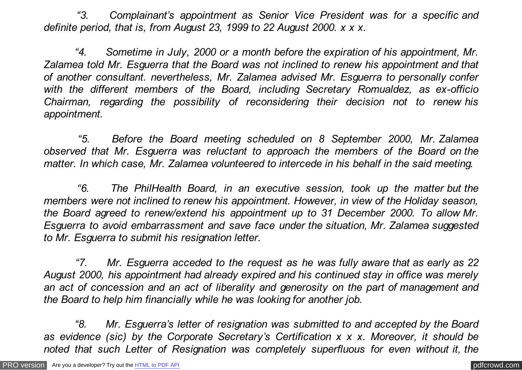*"3. Complainant's appointment as Senior Vice President was for a specific and definite period, that is, from August 23, 1999 to 22 August 2000. x x x.*

 *"4. Sometime in July, 2000 or a month before the expiration of his appointment, Mr. Zalamea told Mr. Esguerra that the Board was not inclined to renew his appointment and that of another consultant. nevertheless, Mr. Zalamea advised Mr. Esguerra to personally confer with the different members of the Board, including Secretary Romualdez, as ex-officio Chairman, regarding the possibility of reconsidering their decision not to renew his appointment.*

 *"5. Before the Board meeting scheduled on 8 September 2000, Mr. Zalamea observed that Mr. Esguerra was reluctant to approach the members of the Board on the matter. In which case, Mr. Zalamea volunteered to intercede in his behalf in the said meeting.*

 *"6. The PhilHealth Board, in an executive session, took up the matter but the members were not inclined to renew his appointment. However, in view of the Holiday season, the Board agreed to renew/extend his appointment up to 31 December 2000. To allow Mr. Esguerra to avoid embarrassment and save face under the situation, Mr. Zalamea suggested to Mr. Esguerra to submit his resignation letter.*

 *"7. Mr. Esguerra acceded to the request as he was fully aware that as early as 22 August 2000, his appointment had already expired and his continued stay in office was merely an act of concession and an act of liberality and generosity on the part of management and the Board to help him financially while he was looking for another job.*

 *"8. Mr. Esguerra's letter of resignation was submitted to and accepted by the Board as evidence (sic) by the Corporate Secretary's Certification x x x. Moreover, it should be noted that such Letter of Resignation was completely superfluous for even without it, the*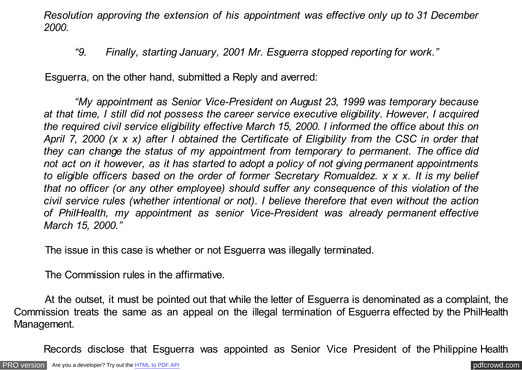*Resolution approving the extension of his appointment was effective only up to 31 December 2000.*

## *"9. Finally, starting January, 2001 Mr. Esguerra stopped reporting for work."*

Esguerra, on the other hand, submitted a Reply and averred:

 *"My appointment as Senior Vice-President on August 23, 1999 was temporary because at that time, I still did not possess the career service executive eligibility. However, I acquired the required civil service eligibility effective March 15, 2000. I informed the office about this on April 7, 2000 (x x x) after I obtained the Certificate of Eligibility from the CSC in order that they can change the status of my appointment from temporary to permanent. The office did not act on it however, as it has started to adopt a policy of not giving permanent appointments to eligible officers based on the order of former Secretary Romualdez. x x x. It is my belief that no officer (or any other employee) should suffer any consequence of this violation of the civil service rules (whether intentional or not). I believe therefore that even without the action of PhilHealth, my appointment as senior Vice-President was already permanent effective March 15, 2000."*

The issue in this case is whether or not Esguerra was illegally terminated.

The Commission rules in the affirmative.

 At the outset, it must be pointed out that while the letter of Esguerra is denominated as a complaint, the Commission treats the same as an appeal on the illegal termination of Esguerra effected by the PhilHealth Management.

Records disclose that Esguerra was appointed as Senior Vice President of the Philippine Health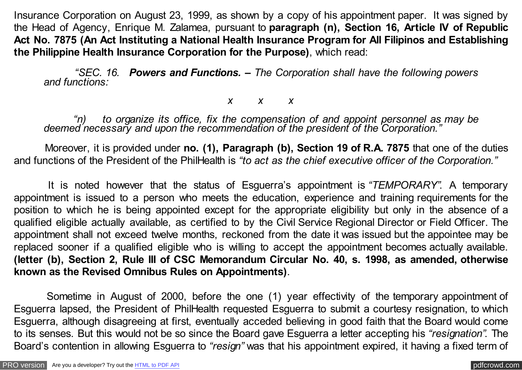Insurance Corporation on August 23, 1999, as shown by a copy of his appointment paper. It was signed by the Head of Agency, Enrique M. Zalamea, pursuant to **paragraph (n), Section 16, Article IV of Republic Act No. 7875 (An Act Instituting a National Health Insurance Program for All Filipinos and Establishing the Philippine Health Insurance Corporation for the Purpose)**, which read:

 *"SEC. 16. Powers and Functions. – The Corporation shall have the following powers and functions:*

## *x x x*

*"n) to organize its office, fix the compensation of and appoint personnel as may be* deemed necessary and upon the recommendation of the president of the Corporation."

 Moreover, it is provided under **no. (1), Paragraph (b), Section 19 of R.A. 7875** that one of the duties and functions of the President of the PhilHealth is *"to act as the chief executive officer of the Corporation."*

 It is noted however that the status of Esguerra's appointment is *"TEMPORARY"*. A temporary appointment is issued to a person who meets the education, experience and training requirements for the position to which he is being appointed except for the appropriate eligibility but only in the absence of a qualified eligible actually available, as certified to by the Civil Service Regional Director or Field Officer. The appointment shall not exceed twelve months, reckoned from the date it was issued but the appointee may be replaced sooner if a qualified eligible who is willing to accept the appointment becomes actually available. **(letter (b), Section 2, Rule III of CSC Memorandum Circular No. 40, s. 1998, as amended, otherwise known as the Revised Omnibus Rules on Appointments)**.

 Sometime in August of 2000, before the one (1) year effectivity of the temporary appointment of Esguerra lapsed, the President of PhilHealth requested Esguerra to submit a courtesy resignation, to which Esguerra, although disagreeing at first, eventually acceded believing in good faith that the Board would come to its senses. But this would not be so since the Board gave Esguerra a letter accepting his *"resignation"*. The Board's contention in allowing Esguerra to *"resign"* was that his appointment expired, it having a fixed term of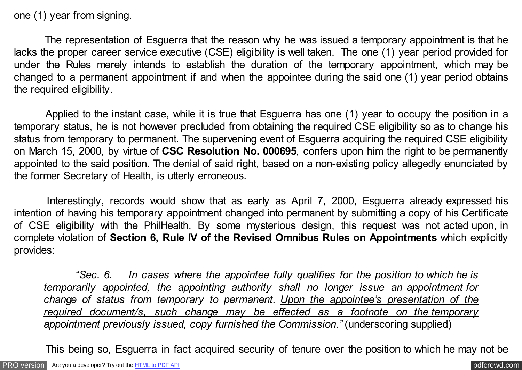one (1) year from signing.

 The representation of Esguerra that the reason why he was issued a temporary appointment is that he lacks the proper career service executive (CSE) eligibility is well taken. The one (1) year period provided for under the Rules merely intends to establish the duration of the temporary appointment, which may be changed to a permanent appointment if and when the appointee during the said one (1) year period obtains the required eligibility.

 Applied to the instant case, while it is true that Esguerra has one (1) year to occupy the position in a temporary status, he is not however precluded from obtaining the required CSE eligibility so as to change his status from temporary to permanent. The supervening event of Esguerra acquiring the required CSE eligibility on March 15, 2000, by virtue of **CSC Resolution No. 000695**, confers upon him the right to be permanently appointed to the said position. The denial of said right, based on a non-existing policy allegedly enunciated by the former Secretary of Health, is utterly erroneous.

 Interestingly, records would show that as early as April 7, 2000, Esguerra already expressed his intention of having his temporary appointment changed into permanent by submitting a copy of his Certificate of CSE eligibility with the PhilHealth. By some mysterious design, this request was not acted upon, in complete violation of **Section 6, Rule IV of the Revised Omnibus Rules on Appointments** which explicitly provides:

 *"Sec. 6. In cases where the appointee fully qualifies for the position to which he is temporarily appointed, the appointing authority shall no longer issue an appointment for change of status from temporary to permanent. Upon the appointee's presentation of the required document/s, such change may be effected as a footnote on the temporary appointment previously issued, copy furnished the Commission."* (underscoring supplied)

This being so, Esguerra in fact acquired security of tenure over the position to which he may not be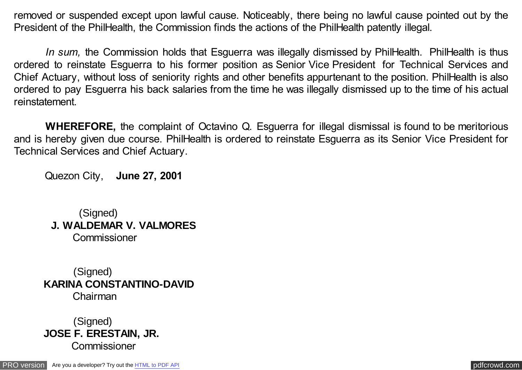removed or suspended except upon lawful cause. Noticeably, there being no lawful cause pointed out by the President of the PhilHealth, the Commission finds the actions of the PhilHealth patently illegal.

*In sum,* the Commission holds that Esguerra was illegally dismissed by PhilHealth. PhilHealth is thus ordered to reinstate Esguerra to his former position as Senior Vice President for Technical Services and Chief Actuary, without loss of seniority rights and other benefits appurtenant to the position. PhilHealth is also ordered to pay Esguerra his back salaries from the time he was illegally dismissed up to the time of his actual reinstatement.

 **WHEREFORE,** the complaint of Octavino Q. Esguerra for illegal dismissal is found to be meritorious and is hereby given due course. PhilHealth is ordered to reinstate Esguerra as its Senior Vice President for Technical Services and Chief Actuary.

Quezon City, **June 27, 2001**

(Signed)  **J. WALDEMAR V. VALMORES** Commissioner

 (Signed) **KARINA CONSTANTINO-DAVID** Chairman

(Signed) **JOSE F. ERESTAIN, JR. Commissioner**